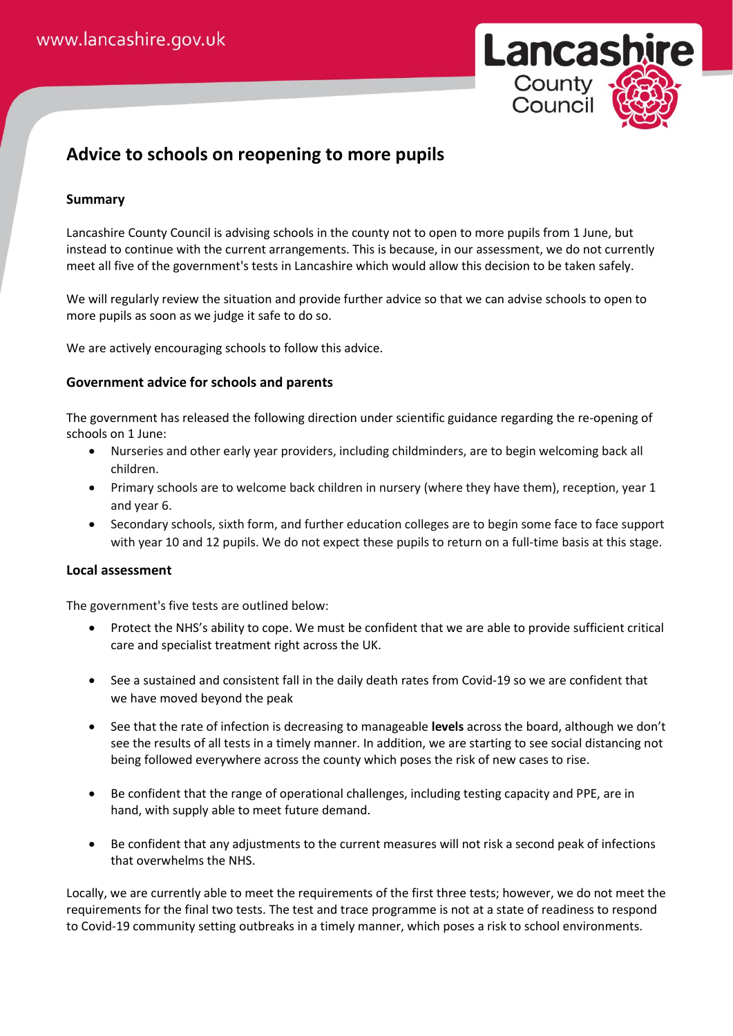

## **Advice to schools on reopening to more pupils**

## **Summary**

Lancashire County Council is advising schools in the county not to open to more pupils from 1 June, but instead to continue with the current arrangements. This is because, in our assessment, we do not currently meet all five of the government's tests in Lancashire which would allow this decision to be taken safely.

We will regularly review the situation and provide further advice so that we can advise schools to open to more pupils as soon as we judge it safe to do so.

We are actively encouraging schools to follow this advice.

## **Government advice for schools and parents**

The government has released the following direction under scientific guidance regarding the re-opening of schools on 1 June:

- Nurseries and other early year providers, including childminders, are to begin welcoming back all children.
- Primary schools are to welcome back children in nursery (where they have them), reception, year 1 and year 6.
- Secondary schools, sixth form, and further education colleges are to begin some face to face support with year 10 and 12 pupils. We do not expect these pupils to return on a full-time basis at this stage.

## **Local assessment**

The government's five tests are outlined below:

- Protect the NHS's ability to cope. We must be confident that we are able to provide sufficient critical care and specialist treatment right across the UK.
- See a sustained and consistent fall in the daily death rates from Covid-19 so we are confident that we have moved beyond the peak
- See that the rate of infection is decreasing to manageable **levels** across the board, although we don't see the results of all tests in a timely manner. In addition, we are starting to see social distancing not being followed everywhere across the county which poses the risk of new cases to rise.
- Be confident that the range of operational challenges, including testing capacity and PPE, are in hand, with supply able to meet future demand.
- Be confident that any adjustments to the current measures will not risk a second peak of infections that overwhelms the NHS.

Locally, we are currently able to meet the requirements of the first three tests; however, we do not meet the requirements for the final two tests. The test and trace programme is not at a state of readiness to respond to Covid-19 community setting outbreaks in a timely manner, which poses a risk to school environments.